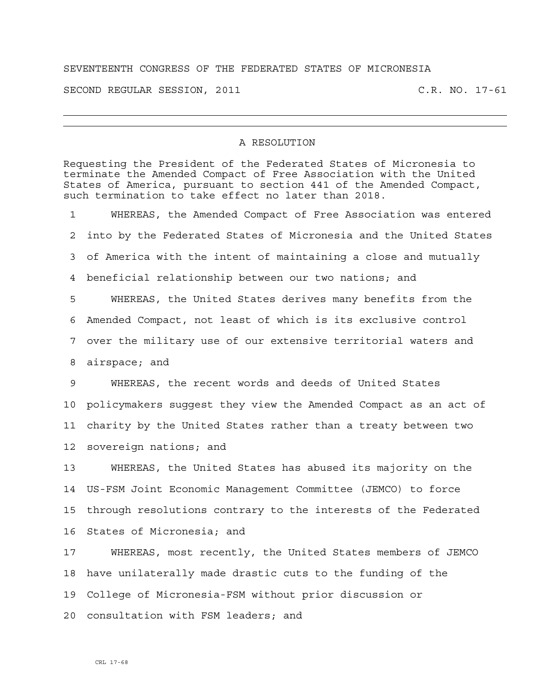## SEVENTEENTH CONGRESS OF THE FEDERATED STATES OF MICRONESIA

SECOND REGULAR SESSION, 2011 C.R. NO. 17-61

## A RESOLUTION

Requesting the President of the Federated States of Micronesia to terminate the Amended Compact of Free Association with the United States of America, pursuant to section 441 of the Amended Compact, such termination to take effect no later than 2018. 1 WHEREAS, the Amended Compact of Free Association was entered 2 into by the Federated States of Micronesia and the United States 3 of America with the intent of maintaining a close and mutually 4 beneficial relationship between our two nations; and 5 WHEREAS, the United States derives many benefits from the 6 Amended Compact, not least of which is its exclusive control 7 over the military use of our extensive territorial waters and 8 airspace; and 9 WHEREAS, the recent words and deeds of United States 10 policymakers suggest they view the Amended Compact as an act of 11 charity by the United States rather than a treaty between two 12 sovereign nations; and 13 WHEREAS, the United States has abused its majority on the 14 US-FSM Joint Economic Management Committee (JEMCO) to force 15 through resolutions contrary to the interests of the Federated 16 States of Micronesia; and 17 WHEREAS, most recently, the United States members of JEMCO 18 have unilaterally made drastic cuts to the funding of the 19 College of Micronesia-FSM without prior discussion or 20 consultation with FSM leaders; and